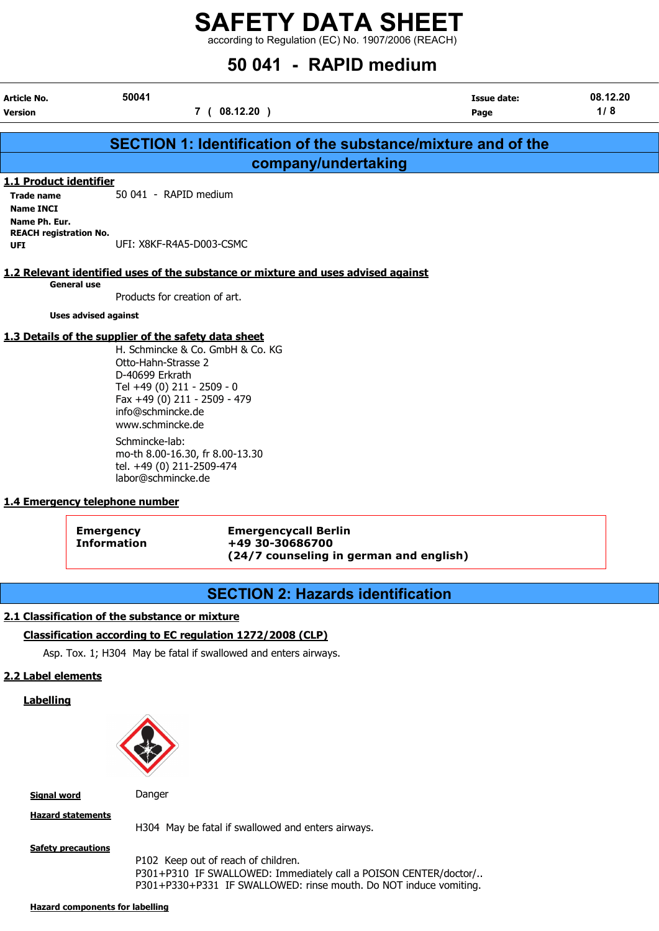according to Regulation (EC) No. 1907/2006 (REACH)

# $50.041 - 50.010$  modium

| 50041       | <b>Issue date:</b>                                                                                                                                                                                                                                                                                                                                                                                                                                                     | 08.12.20                                                                                                                                                                         |
|-------------|------------------------------------------------------------------------------------------------------------------------------------------------------------------------------------------------------------------------------------------------------------------------------------------------------------------------------------------------------------------------------------------------------------------------------------------------------------------------|----------------------------------------------------------------------------------------------------------------------------------------------------------------------------------|
| 7(08.12.20) | Page                                                                                                                                                                                                                                                                                                                                                                                                                                                                   | 1/8                                                                                                                                                                              |
|             |                                                                                                                                                                                                                                                                                                                                                                                                                                                                        |                                                                                                                                                                                  |
|             |                                                                                                                                                                                                                                                                                                                                                                                                                                                                        |                                                                                                                                                                                  |
|             |                                                                                                                                                                                                                                                                                                                                                                                                                                                                        |                                                                                                                                                                                  |
|             |                                                                                                                                                                                                                                                                                                                                                                                                                                                                        |                                                                                                                                                                                  |
|             |                                                                                                                                                                                                                                                                                                                                                                                                                                                                        |                                                                                                                                                                                  |
|             |                                                                                                                                                                                                                                                                                                                                                                                                                                                                        |                                                                                                                                                                                  |
|             |                                                                                                                                                                                                                                                                                                                                                                                                                                                                        |                                                                                                                                                                                  |
|             |                                                                                                                                                                                                                                                                                                                                                                                                                                                                        |                                                                                                                                                                                  |
|             |                                                                                                                                                                                                                                                                                                                                                                                                                                                                        |                                                                                                                                                                                  |
|             |                                                                                                                                                                                                                                                                                                                                                                                                                                                                        |                                                                                                                                                                                  |
|             |                                                                                                                                                                                                                                                                                                                                                                                                                                                                        |                                                                                                                                                                                  |
|             |                                                                                                                                                                                                                                                                                                                                                                                                                                                                        |                                                                                                                                                                                  |
|             | 50 041 - RAPID medium<br>UFI: X8KF-R4A5-D003-CSMC<br>Products for creation of art.<br><b>Uses advised against</b><br>1.3 Details of the supplier of the safety data sheet<br>H. Schmincke & Co. GmbH & Co. KG<br>Otto-Hahn-Strasse 2<br>D-40699 Erkrath<br>Tel +49 (0) 211 - 2509 - 0<br>Fax +49 (0) 211 - 2509 - 479<br>info@schmincke.de<br>www.schmincke.de<br>Schmincke-lab:<br>mo-th 8.00-16.30, fr 8.00-13.30<br>tel. +49 (0) 211-2509-474<br>labor@schmincke.de | <b>SECTION 1: Identification of the substance/mixture and of the</b><br>company/undertaking<br>1.2 Relevant identified uses of the substance or mixture and uses advised against |

#### 1.4 Emergency telephone number

| <b>Emergency</b>   |  |
|--------------------|--|
| <b>Information</b> |  |

Emergency Emergencycall Berlin Information +49 30-30686700 (24/7 counseling in german and english)

# SECTION 2: Hazards identification

#### 2.1 Classification of the substance or mixture

#### Classification according to EC regulation 1272/2008 (CLP)

Asp. Tox. 1; H304 May be fatal if swallowed and enters airways.

### 2.2 Label elements

**Labelling** 



Signal word Danger

Hazard statements

**Safety precautions** 

H304 May be fatal if swallowed and enters airways.

P102 Keep out of reach of children. P301+P310 IF SWALLOWED: Immediately call a POISON CENTER/doctor/.. P301+P330+P331 IF SWALLOWED: rinse mouth. Do NOT induce vomiting.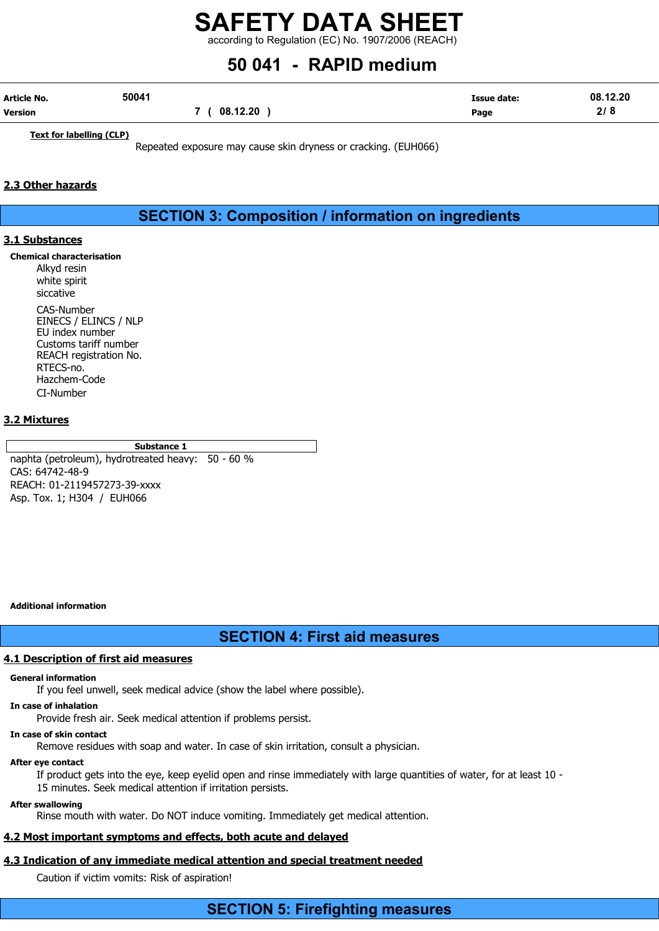according to Regulation (EC) No. 1907/2006 (REACH)

# 50 041 - RAPID medium

| Article No.    | 50041 |          | <b>Issue date:</b> | 08.12.20 |
|----------------|-------|----------|--------------------|----------|
| <b>Version</b> |       | 08.12.20 | Page               | 2/8      |

Text for labelling (CLP)

Repeated exposure may cause skin dryness or cracking. (EUH066)

#### 2.3 Other hazards

SECTION 3: Composition / information on ingredients

#### 3.1 Substances

Chemical characterisation

Alkyd resin white spirit siccative CAS-Number EINECS / ELINCS / NLP EU index number Customs tariff number REACH registration No. RTECS-no. Hazchem-Code CI-Number

#### 3.2 Mixtures

Substance 1 naphta (petroleum), hydrotreated heavy: 50 - 60 % CAS: 64742-48-9 REACH: 01-2119457273-39-xxxx Asp. Tox. 1; H304 / EUH066

Additional information

## SECTION 4: First aid measures

#### 4.1 Description of first aid measures

#### General information

If you feel unwell, seek medical advice (show the label where possible).

#### In case of inhalation

Provide fresh air. Seek medical attention if problems persist.

## In case of skin contact

Remove residues with soap and water. In case of skin irritation, consult a physician.

#### After eye contact

If product gets into the eye, keep eyelid open and rinse immediately with large quantities of water, for at least 10 - 15 minutes. Seek medical attention if irritation persists.

#### After swallowing

Rinse mouth with water. Do NOT induce vomiting. Immediately get medical attention.

# 4.2 Most important symptoms and effects, both acute and delayed

# 4.3 Indication of any immediate medical attention and special treatment needed

Caution if victim vomits: Risk of aspiration!

# SECTION 5: Firefighting measures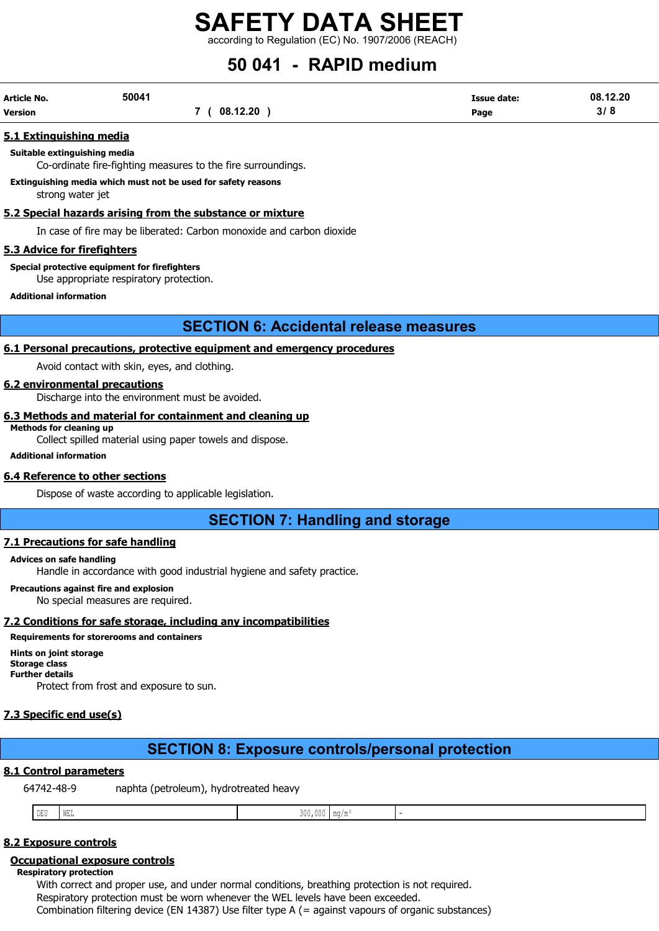according to Regulation (EC) No. 1907/2006 (REACH)

# 50 041 - RAPID medium

| Article No. | 50041 |          | Issue date: | 08.12.20 |
|-------------|-------|----------|-------------|----------|
| Version     |       | 08.12.20 | Page        | 3/8      |

#### 5.1 Extinguishing media

#### Suitable extinguishing media

Co-ordinate fire-fighting measures to the fire surroundings.

#### Extinguishing media which must not be used for safety reasons

strong water jet

#### 5.2 Special hazards arising from the substance or mixture

In case of fire may be liberated: Carbon monoxide and carbon dioxide

#### 5.3 Advice for firefighters

Special protective equipment for firefighters

Use appropriate respiratory protection.

Additional information

## SECTION 6: Accidental release measures

#### 6.1 Personal precautions, protective equipment and emergency procedures

Avoid contact with skin, eyes, and clothing.

#### 6.2 environmental precautions

Discharge into the environment must be avoided.

#### 6.3 Methods and material for containment and cleaning up Methods for cleaning up

Collect spilled material using paper towels and dispose.

Additional information

#### 6.4 Reference to other sections

Dispose of waste according to applicable legislation.

SECTION 7: Handling and storage

#### 7.1 Precautions for safe handling

#### Advices on safe handling

Handle in accordance with good industrial hygiene and safety practice.

#### Precautions against fire and explosion

No special measures are required.

## 7.2 Conditions for safe storage, including any incompatibilities

## Requirements for storerooms and containers

#### Hints on joint storage

Storage class Further details

Protect from frost and exposure to sun.

## 7.3 Specific end use(s)

# SECTION 8: Exposure controls/personal protection

## 8.1 Control parameters

64742-48-9 naphta (petroleum), hydrotreated heavy

| -- | $- - - -$ | $-$<br>WD 1 |  |  |  |
|----|-----------|-------------|--|--|--|
|----|-----------|-------------|--|--|--|

## 8.2 Exposure controls

#### Occupational exposure controls

Respiratory protection

With correct and proper use, and under normal conditions, breathing protection is not required. Respiratory protection must be worn whenever the WEL levels have been exceeded. Combination filtering device (EN 14387) Use filter type A (= against vapours of organic substances)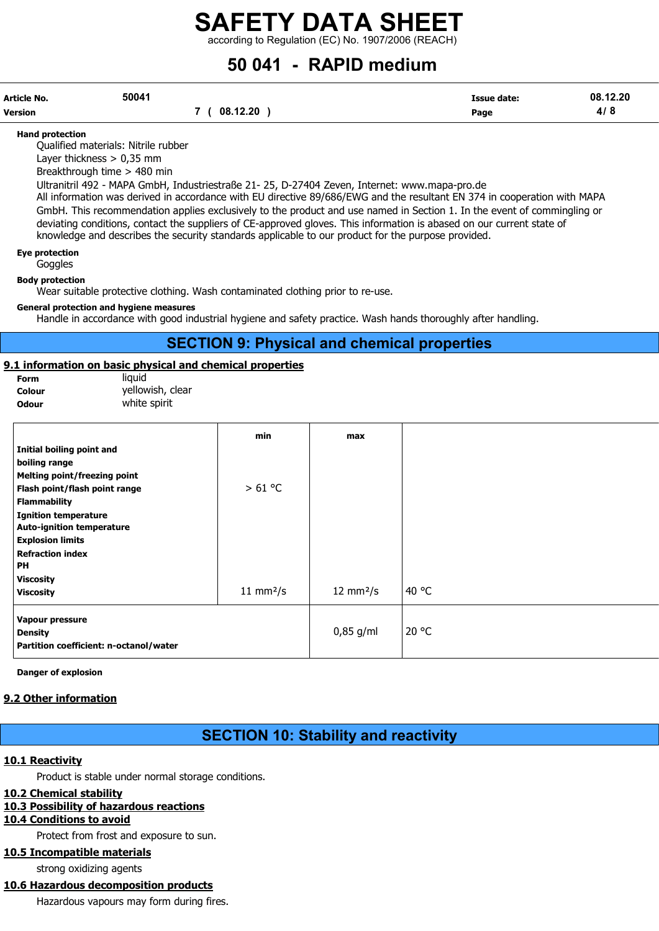according to Regulation (EC) No. 1907/2006 (REACH)

# 50 041 - RAPID medium

| Article No. | 50041 |              | <b>Issue date:</b> | 08.12.20 |
|-------------|-------|--------------|--------------------|----------|
| Version     |       | 7 ( 08.12.20 | Page               | 4/8      |

#### Hand protection

Qualified materials: Nitrile rubber

Layer thickness > 0,35 mm

Breakthrough time > 480 min

Ultranitril 492 - MAPA GmbH, Industriestraße 21- 25, D-27404 Zeven, Internet: www.mapa-pro.de

All information was derived in accordance with EU directive 89/686/EWG and the resultant EN 374 in cooperation with MAPA GmbH. This recommendation applies exclusively to the product and use named in Section 1. In the event of commingling or deviating conditions, contact the suppliers of CE-approved gloves. This information is abased on our current state of knowledge and describes the security standards applicable to our product for the purpose provided.

Eye protection

**Goggles** 

Body protection

Wear suitable protective clothing. Wash contaminated clothing prior to re-use.

#### General protection and hygiene measures

Handle in accordance with good industrial hygiene and safety practice. Wash hands thoroughly after handling.

## SECTION 9: Physical and chemical properties

#### 9.1 information on basic physical and chemical properties

| Form   | liauid           |
|--------|------------------|
| Colour | yellowish, clear |
| Odour  | white spirit     |

|                                        | min                   | max                        |       |
|----------------------------------------|-----------------------|----------------------------|-------|
| Initial boiling point and              |                       |                            |       |
| boiling range                          |                       |                            |       |
| <b>Melting point/freezing point</b>    |                       |                            |       |
| Flash point/flash point range          | >61 °C                |                            |       |
| <b>Flammability</b>                    |                       |                            |       |
| <b>Ignition temperature</b>            |                       |                            |       |
| <b>Auto-ignition temperature</b>       |                       |                            |       |
| <b>Explosion limits</b>                |                       |                            |       |
| <b>Refraction index</b>                |                       |                            |       |
| <b>PH</b>                              |                       |                            |       |
| <b>Viscosity</b>                       |                       |                            |       |
| <b>Viscosity</b>                       | 11 mm <sup>2</sup> /s | $12 \text{ mm}^2/\text{s}$ | 40 °C |
| Vapour pressure                        |                       |                            |       |
| <b>Density</b>                         |                       | $0,85$ g/ml                | 20 °C |
| Partition coefficient: n-octanol/water |                       |                            |       |
|                                        |                       |                            |       |

Danger of explosion

#### 9.2 Other information

# SECTION 10: Stability and reactivity

#### 10.1 Reactivity

Product is stable under normal storage conditions.

#### 10.2 Chemical stability

#### 10.3 Possibility of hazardous reactions

#### 10.4 Conditions to avoid

Protect from frost and exposure to sun.

10.5 Incompatible materials

strong oxidizing agents

#### 10.6 Hazardous decomposition products

Hazardous vapours may form during fires.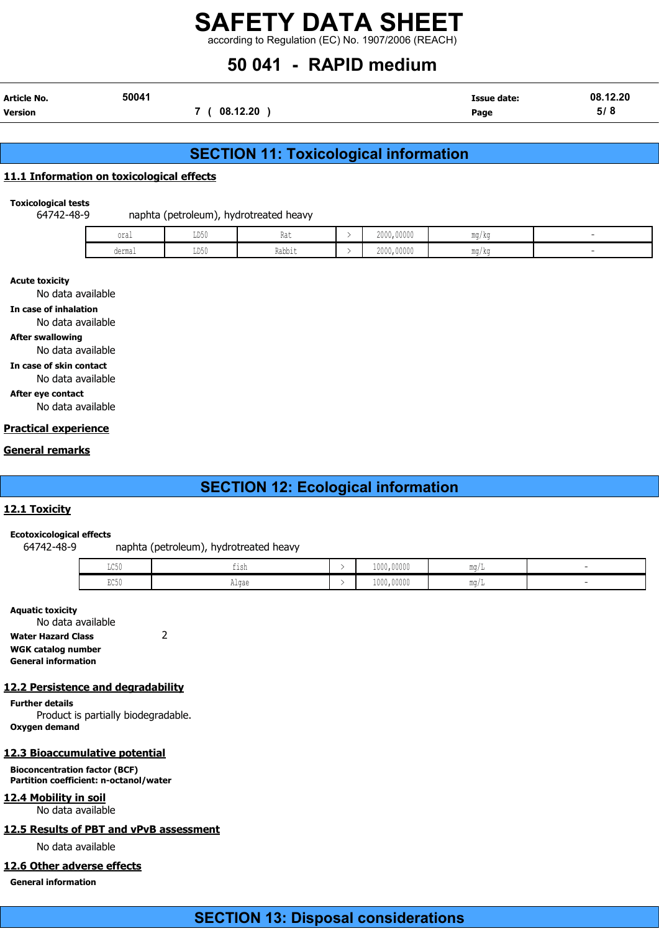according to Regulation (EC) No. 1907/2006 (REACH)

# 50 041 - RAPID medium

| Article No.    | 50041 |          | <b>Issue date:</b> | 08.12.20 |
|----------------|-------|----------|--------------------|----------|
| <b>Version</b> |       | 08.12.20 | Page               | 5/8      |

# SECTION 11: Toxicological information

#### 11.1 Information on toxicological effects

Toxicological tests

64742-48-9 naphta (petroleum), hydrotreated heavy

| oral<br>$\sim$ $\sim$ $\sim$ | TINE <sup>2</sup><br>∪∪ע<br>$\sim$ $\sim$ | 1146   | 2000,00000<br>. | mg/kg |  |
|------------------------------|-------------------------------------------|--------|-----------------|-------|--|
| dermal                       | ∪∪ע                                       | Rabbit | 2000,00000      | ma/ka |  |

#### Acute toxicity

No data available

In case of inhalation

No data available

### After swallowing

No data available

In case of skin contact No data available

## After eye contact

No data available

#### Practical experience

#### General remarks

# SECTION 12: Ecological information

#### 12.1 Toxicity

#### Ecotoxicological effects

64742-48-9 naphta (petroleum), hydrotreated heavy

| $T \cap E \cap$<br>カワクカ | $+1$ Cr.<br>--- | 1000,00000 | ma/г        |  |
|-------------------------|-----------------|------------|-------------|--|
| $P \cap E \cap$<br>山しりり | Algae           | 1000,00000 | $m\alpha/L$ |  |

#### Aquatic toxicity

No data available Water Hazard Class 2 WGK catalog number General information

#### 12.2 Persistence and degradability

Further details Product is partially biodegradable. Oxygen demand

#### 12.3 Bioaccumulative potential

Bioconcentration factor (BCF) Partition coefficient: n-octanol/water

12.4 Mobility in soil No data available

#### 12.5 Results of PBT and vPvB assessment

No data available

#### 12.6 Other adverse effects

General information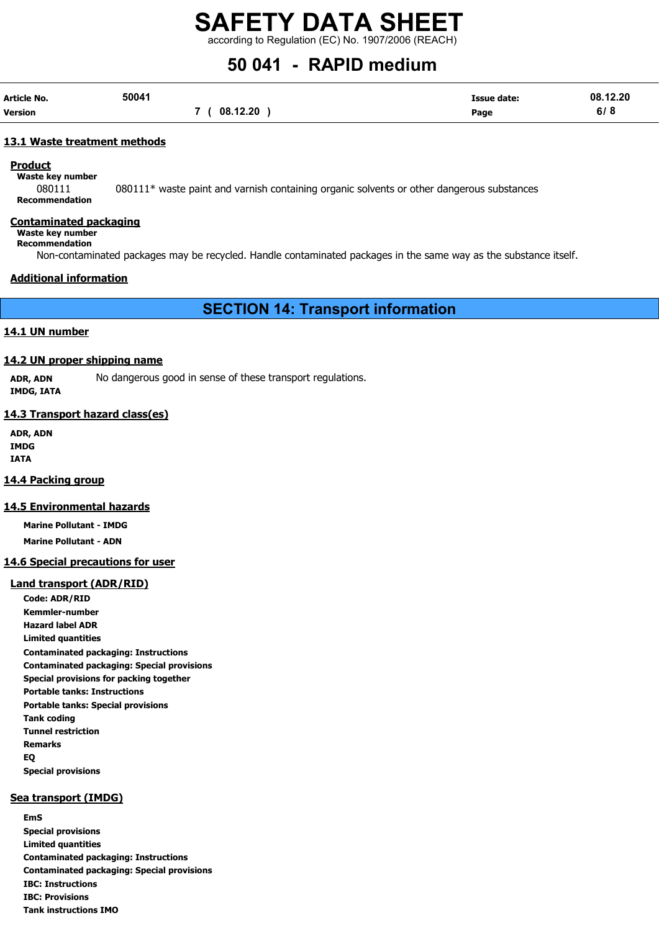according to Regulation (EC) No. 1907/2006 (REACH)

# 50 041 - RAPID medium

| Article No. | 50041 |          | Issue date: | 08.12.20 |
|-------------|-------|----------|-------------|----------|
| Version     |       | 08.12.20 | Page        | 6/8      |

#### 13.1 Waste treatment methods

#### Product

Waste key number 080111 080111\* waste paint and varnish containing organic solvents or other dangerous substances

Recommendation

#### Contaminated packaging

Waste key number Recommendation

Non-contaminated packages may be recycled. Handle contaminated packages in the same way as the substance itself.

#### Additional information

SECTION 14: Transport information

#### 14.1 UN number

#### 14.2 UN proper shipping name

ADR, ADN No dangerous good in sense of these transport regulations. IMDG, IATA

#### 14.3 Transport hazard class(es)

ADR, ADN IMDG IATA

#### 14.4 Packing group

#### 14.5 Environmental hazards

Marine Pollutant - IMDG

Marine Pollutant - ADN

#### 14.6 Special precautions for user

#### Land transport (ADR/RID)

Code: ADR/RID Kemmler-number Hazard label ADR Limited quantities Contaminated packaging: Instructions Contaminated packaging: Special provisions Special provisions for packing together Portable tanks: Instructions Portable tanks: Special provisions Tank coding Tunnel restriction Remarks EQ Special provisions

# Sea transport (IMDG)

EmS Special provisions Limited quantities Contaminated packaging: Instructions Contaminated packaging: Special provisions IBC: Instructions IBC: Provisions Tank instructions IMO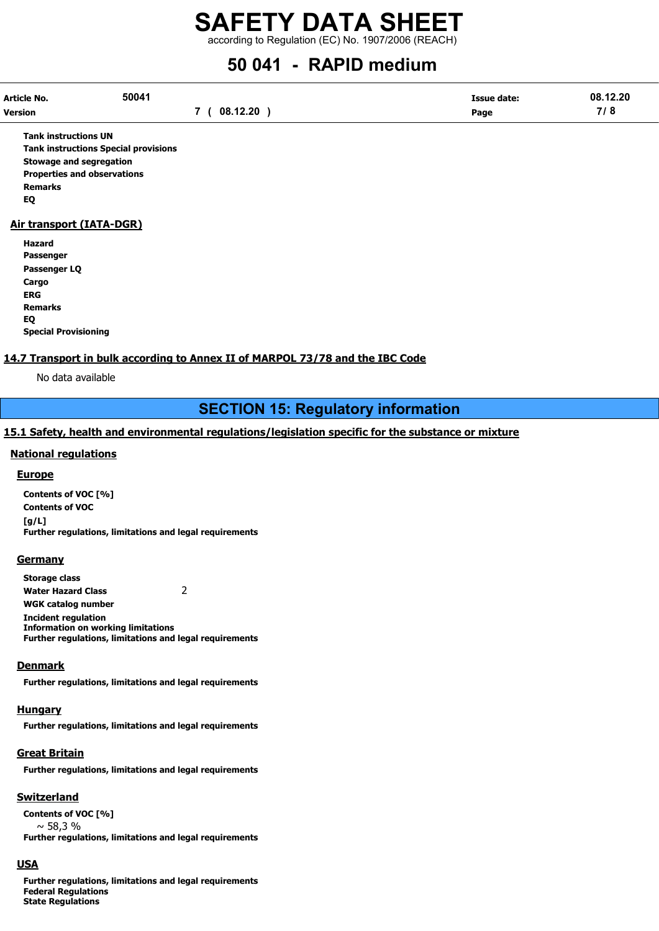according to Regulation (EC) No. 1907/2006 (REACH)

# 50 041 - RAPID medium

| Article No. | 50041 |              | <b>Issue date:</b> | 08.12.20 |
|-------------|-------|--------------|--------------------|----------|
| Version     |       | 7 ( 08.12.20 | Page               | 7/8      |

Tank instructions UN Tank instructions Special provisions Stowage and segregation Properties and observations Remarks EQ

#### Air transport (IATA-DGR)

Hazard Passenger Passenger LQ Cargo ERG Remarks EQ Special Provisioning

#### 14.7 Transport in bulk according to Annex II of MARPOL 73/78 and the IBC Code

No data available

# SECTION 15: Regulatory information

#### 15.1 Safety, health and environmental regulations/legislation specific for the substance or mixture

#### National regulations

#### **Europe**

Contents of VOC [%] Contents of VOC [g/L] Further regulations, limitations and legal requirements

#### **Germany**

Storage class Water Hazard Class 2 WGK catalog number Incident regulation Information on working limitations Further regulations, limitations and legal requirements

#### **Denmark**

Further regulations, limitations and legal requirements

#### Hungary

Further regulations, limitations and legal requirements

## Great Britain

Further regulations, limitations and legal requirements

## Switzerland

Contents of VOC [%]  $~\sim$  58.3 % Further regulations, limitations and legal requirements

## **USA**

Further regulations, limitations and legal requirements Federal Regulations State Regulations